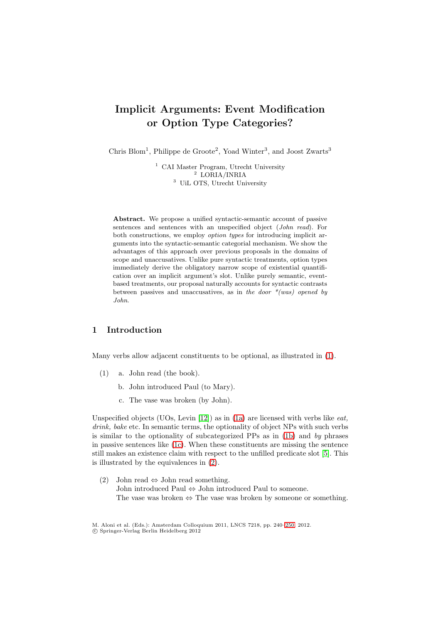# **Implicit Arguments: Event Modification or Option Type Categories?**

Chris Blom<sup>1</sup>, Philippe de Groote<sup>2</sup>, Yoad Winter<sup>3</sup>, and Joost Zwarts<sup>3</sup>

<sup>1</sup> CAI Master Program, Utrecht University <sup>2</sup> LORIA/INRIA <sup>3</sup> UiL OTS, Utrecht University

**Abstract.** We propose a unified syntactic-semantic account of passive sentences and sentences with an unspecified object (*John read*). For both constructions, we employ *option types* for introducing implicit arguments into the syntactic-semantic categorial mechanism. We show the advantages of this approach over previous proposals in the domains of scope and unaccusatives. Unlike pure syntactic treatments, option types immediately derive the obligatory narrow scope of existential quantification over an implicit argument's slot. Unlike purely semantic, eventbased treatments, our proposal naturally accounts for syntactic contrasts between passives and unaccusatives, as in *the door \*(was) opened by John*.

## **1 Introduction**

<span id="page-0-0"></span>Many verbs allow adjacent constituents to be optional, as illustrated in [\(1\)](#page-0-0).

- <span id="page-0-2"></span><span id="page-0-1"></span>(1) a. John read (the book).
	- b. John introduced Paul (to Mary).
	- c. The vase was broken (by John).

Unspecified objects (UOs, Levin [\[12\]](#page-10-0)) as in [\(1a\)](#page-0-0) are licensed with verbs like *eat, drink, bake* etc. In semantic terms, the optionality of object NPs with such verbs is similar to the optionality of subcategorized PPs as in [\(1b\)](#page-0-1) and *by* phrases in passive sentences like [\(1c\)](#page-0-2). When these constituents are missing the sentence still makes an existence claim with respect to the unfilled predicate slot [\[5\]](#page-9-0). This is illustrated by the equivalences in [\(2\)](#page-0-3).

<span id="page-0-3"></span>(2) John read  $\Leftrightarrow$  John read something. John introduced Paul ⇔ John introduced Paul to someone. The vase was broken  $\Leftrightarrow$  The vase was broken by someone or something.

M. Aloni et al. (Eds.): Amsterdam Colloquium 2011, LNCS 7218, pp. 240[–250,](#page-9-1) 2012.

<sup>-</sup>c Springer-Verlag Berlin Heidelberg 2012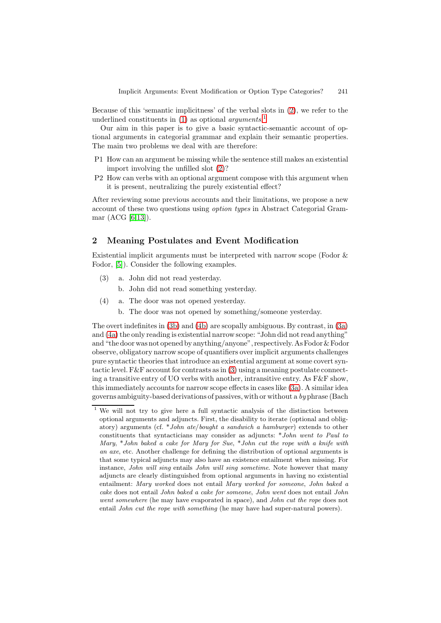Because of this 'semantic implicitness' of the verbal slots in [\(2\)](#page-0-3), we refer to the underlined constituents in [\(1\)](#page-0-0) as optional *arguments*. [1](#page-1-0)

Our aim in this paper is to give a basic syntactic-semantic account of optional arguments in categorial grammar and explain their semantic properties. The main two problems we deal with are therefore:

- P1 How can an argument be missing while the sentence still makes an existential import involving the unfilled slot [\(2\)](#page-0-3)?
- P2 How can verbs with an optional argument compose with this argument when it is present, neutralizing the purely existential effect?

After reviewing some previous accounts and their limitations, we propose a new account of these two questions using *option types* in Abstract Categorial Grammar (ACG [\[6,](#page-9-2)[13\]](#page-10-1)).

## <span id="page-1-5"></span>**2 Meaning Postulates and Event Modification**

Existential implicit arguments must be interpreted with narrow scope (Fodor & Fodor, [\[5\]](#page-9-0)). Consider the following examples.

- <span id="page-1-3"></span><span id="page-1-1"></span>(3) a. John did not read yesterday.
	- b. John did not read something yesterday.
- <span id="page-1-4"></span><span id="page-1-2"></span>(4) a. The door was not opened yesterday.
	- b. The door was not opened by something/someone yesterday.

The overt indefinites in [\(3b\)](#page-1-1) and [\(4b\)](#page-1-2) are scopally ambiguous. By contrast, in [\(3a\)](#page-1-3) and [\(4a\)](#page-1-4) the only reading is existential narrow scope: "John did not read anything" and "the door was not opened by anything/anyone", respectively. As Fodor & Fodor observe, obligatory narrow scope of quantifiers over implicit arguments challenges pure syntactic theories that introduce an existential argument at some covert syntactic level. F&F account for contrasts as in [\(3\)](#page-1-3) using a meaning postulate connecting a transitive entry of UO verbs with another, intransitive entry. As  $F\&F$  show, this immediately accounts for narrow scope effects in cases like [\(3a\)](#page-1-3). A similar idea governs ambiguity-based derivations of passives, with or without a *by* phrase (Bach

<span id="page-1-0"></span>We will not try to give here a full syntactic analysis of the distinction between optional arguments and adjuncts. First, the disability to iterate (optional and obligatory) arguments (cf. \**John ate*/*bought a sandwich a hamburger*) extends to other constituents that syntacticians may consider as adjuncts: \**John went to Paul to Mary*, \**John baked a cake for Mary for Sue*, \**John cut the rope with a knife with an axe*, etc. Another challenge for defining the distribution of optional arguments is that some typical adjuncts may also have an existence entailment when missing. For instance, *John will sing* entails *John will sing sometime*. Note however that many adjuncts are clearly distinguished from optional arguments in having no existential entailment: *Mary worked* does not entail *Mary worked for someone*, *John baked a cake* does not entail *John baked a cake for someone*, *John went* does not entail *John went somewhere* (he may have evaporated in space), and *John cut the rope* does not entail *John cut the rope with something* (he may have had super-natural powers).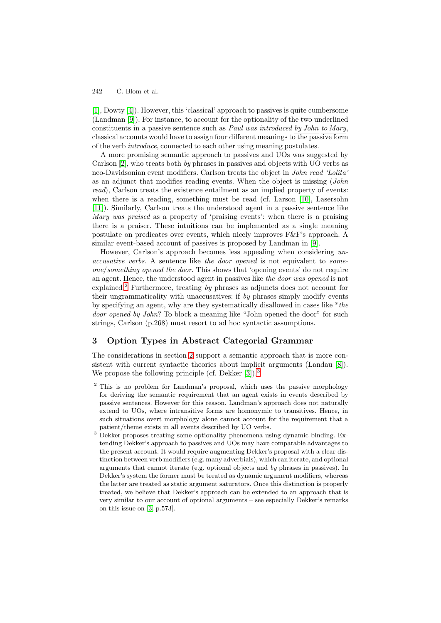[\[1\]](#page-9-3), Dowty [\[4\]](#page-9-4)). However, this 'classical' approach to passives is quite cumbersome (Landman [\[9\]](#page-10-2)). For instance, to account for the optionality of the two underlined constituents in a passive sentence such as *Paul was introduced by John to Mary*, classical accounts would have to assign four different meanings to the passive form of the verb *introduce*, connected to each other using meaning postulates.

A more promising semantic approach to passives and UOs was suggested by Carlson [\[2\]](#page-9-5), who treats both *by* phrases in passives and objects with UO verbs as neo-Davidsonian event modifiers. Carlson treats the object in *John read 'Lolita'* as an adjunct that modifies reading events. When the object is missing (*John read*), Carlson treats the existence entailment as an implied property of events: when there is a reading, something must be read (cf. Larson [\[10\]](#page-10-3), Lasersohn [\[11\]](#page-10-4)). Similarly, Carlson treats the understood agent in a passive sentence like *Mary was praised* as a property of 'praising events': when there is a praising there is a praiser. These intuitions can be implemented as a single meaning postulate on predicates over events, which nicely improves F&F's approach. A similar event-based account of passives is proposed by Landman in [\[9\]](#page-10-2).

However, Carlson's approach becomes less appealing when considering *unaccusative verbs*. A sentence like *the door opened* is not equivalent to *someone*/*something opened the door*. This shows that 'opening events' do not require an agent. Hence, the understood agent in passives like *the door was opened* is not explained.[2](#page-2-0) Furthermore, treating *by* phrases as adjuncts does not account for their ungrammaticality with unaccusatives: if *by* phrases simply modify events by specifying an agent, why are they systematically disallowed in cases like \**the door opened by John*? To block a meaning like "John opened the door" for such strings, Carlson (p.268) must resort to ad hoc syntactic assumptions.

## <span id="page-2-2"></span>**3 Option Types in Abstract Categorial Grammar**

The considerations in section [2](#page-1-5) support a semantic approach that is more consistent with current syntactic theories about implicit arguments (Landau [\[8\]](#page-9-6)). We propose the following principle (cf. Dekker [\[3\]](#page-9-7)).<sup>[3](#page-2-1)</sup>

<span id="page-2-0"></span><sup>&</sup>lt;sup>2</sup> This is no problem for Landman's proposal, which uses the passive morphology for deriving the semantic requirement that an agent exists in events described by passive sentences. However for this reason, Landman's approach does not naturally extend to UOs, where intransitive forms are homonymic to transitives. Hence, in such situations overt morphology alone cannot account for the requirement that a patient/theme exists in all events described by UO verbs.

<span id="page-2-1"></span> $3\overline{)}$  Dekker proposes treating some optionality phenomena using dynamic binding. Extending Dekker's approach to passives and UOs may have comparable advantages to the present account. It would require augmenting Dekker's proposal with a clear distinction between verb modifiers (e.g. many adverbials), which can iterate, and optional arguments that cannot iterate (e.g. optional objects and *by* phrases in passives). In Dekker's system the former must be treated as dynamic argument modifiers, whereas the latter are treated as static argument saturators. Once this distinction is properly treated, we believe that Dekker's approach can be extended to an approach that is very similar to our account of optional arguments – see especially Dekker's remarks on this issue on [\[3,](#page-9-7) p.573].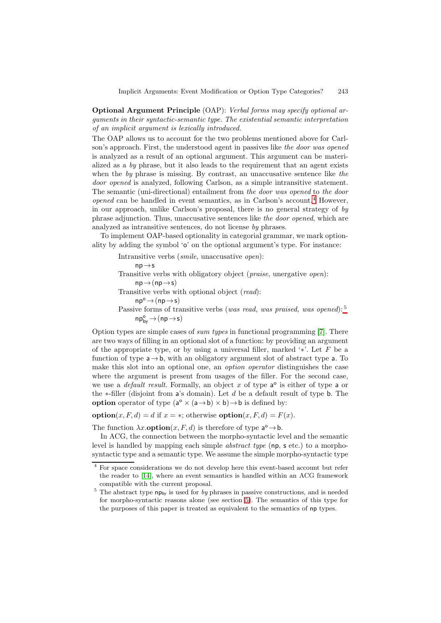**Optional Argument Principle** (OAP): *Verbal forms may specify optional arguments in their syntactic-semantic type. The existential semantic interpretation of an implicit argument is lexically introduced.*

The OAP allows us to account for the two problems mentioned above for Carlson's approach. First, the understood agent in passives like *the door was opened* is analyzed as a result of an optional argument. This argument can be materialized as a *by* phrase, but it also leads to the requirement that an agent exists when the *by* phrase is missing. By contrast, an unaccusative sentence like *the door opened* is analyzed, following Carlson, as a simple intransitive statement. The semantic (uni-directional) entailment from *the door was opened* to *the door opened* can be handled in event semantics, as in Carlson's account.<sup>[4](#page-3-0)</sup> However, in our approach, unlike Carlson's proposal, there is no general strategy of *by* phrase adjunction. Thus, unaccusative sentences like *the door opened*, which are analyzed as intransitive sentences, do not license *by* phrases.

To implement OAP-based optionality in categorial grammar, we mark optionality by adding the symbol 'o' on the optional argument's type. For instance:

> Intransitive verbs (*smile*, unaccusative *open*):  $np \rightarrow s$ Transitive verbs with obligatory object (*praise*, unergative *open*):  $np \rightarrow (np \rightarrow s)$ Transitive verbs with optional object (*read*):  $np^{\circ} \rightarrow (np \rightarrow s)$ Passive forms of transitive verbs (*was read, was praised, was opened*): <sup>5</sup>  $\mathsf{np}^\mathsf{o}_{\mathsf{by}} \mathop{\rightarrow}\limits (\mathsf{np} \mathop{\rightarrow}\limits \mathsf{s})$

Option types are simple cases of *sum types* in functional programming [\[7\]](#page-9-8). There are two ways of filling in an optional slot of a function: by providing an argument of the appropriate type, or by using a universal filler, marked ' $*'$ . Let F be a function of type  $a \rightarrow b$ , with an obligatory argument slot of abstract type a. To make this slot into an optional one, an *option operator* distinguishes the case where the argument is present from usages of the filler. For the second case, we use a *default result*. Formally, an object x of type  $a^{\circ}$  is either of type a or the  $\ast$ -filler (disjoint from a's domain). Let d be a default result of type **b**. The **option** operator of type  $(a^{\circ} \times (a \rightarrow b) \times b) \rightarrow b$  is defined by:

**option** $(x, F, d) = d$  if  $x = *$ ; otherwise **option** $(x, F, d) = F(x)$ .

The function  $\lambda x$ **.option** $(x, F, d)$  is therefore of type  $a^{\circ} \rightarrow b$ .

In ACG, the connection between the morpho-syntactic level and the semantic level is handled by mapping each simple *abstract type* (np, s etc.) to a morphosyntactic type and a semantic type. We assume the simple morpho-syntactic type

<span id="page-3-0"></span><sup>4</sup> For space considerations we do not develop here this event-based account but refer the reader to [\[14\]](#page-10-5), where an event semantics is handled within an ACG framework compatible with the current proposal.

 $5$  The abstract type  $np_{bv}$  is used for *by* phrases in passive constructions, and is needed for morpho-syntactic reasons alone (see section [5\)](#page-6-0). The semantics of this type for the purposes of this paper is treated as equivalent to the semantics of np types.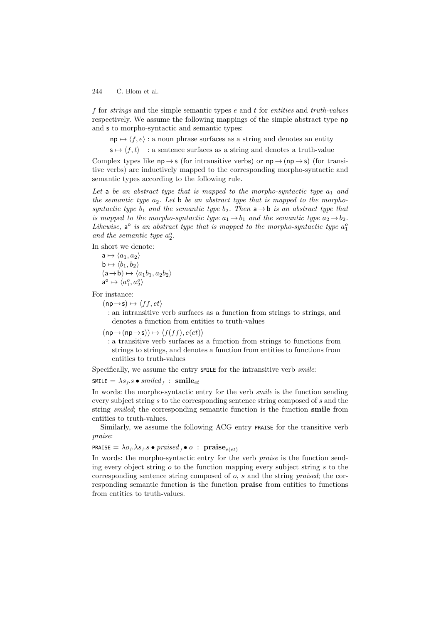f for *strings* and the simple semantic types e and t for *entities* and *truth-values* respectively. We assume the following mappings of the simple abstract type np and s to morpho-syntactic and semantic types:

 $np \mapsto \langle f, e \rangle$ : a noun phrase surfaces as a string and denotes an entity

 $s \mapsto \langle f, t \rangle$  : a sentence surfaces as a string and denotes a truth-value

Complex types like  $np \rightarrow s$  (for intransitive verbs) or  $np \rightarrow (np \rightarrow s)$  (for transitive verbs) are inductively mapped to the corresponding morpho-syntactic and semantic types according to the following rule.

Let a be an abstract type that is mapped to the morpho-syntactic type  $a_1$  and *the semantic type*  $a_2$ . Let **b** *be an abstract type that is mapped to the morphosyntactic type*  $b_1$  *and the semantic type*  $b_2$ *. Then*  $a \rightarrow b$  *is an abstract type that is mapped to the morpho-syntactic type*  $a_1 \rightarrow b_1$  *and the semantic type*  $a_2 \rightarrow b_2$ *. Likewise*,  $a^{\circ}$  *is an abstract type that is mapped to the morpho-syntactic type*  $a_1^{\circ}$ and the semantic type  $a_2^o$ .

In short we denote:

 $a \mapsto \langle a_1, a_2 \rangle$  $b \mapsto \langle b_1, b_2 \rangle$  $(a \rightarrow b) \mapsto \langle a_1b_1, a_2b_2 \rangle$  $\mathsf{a}^\mathsf{o} \mapsto \langle a_1^o, a_2^o \rangle$ 

For instance:

 $(np \rightarrow s) \mapsto \langle ff, et \rangle$ 

: an intransitive verb surfaces as a function from strings to strings, and denotes a function from entities to truth-values

 $(np \rightarrow (np \rightarrow s)) \mapsto \langle f(ff), e(et) \rangle$ 

: a transitive verb surfaces as a function from strings to functions from strings to strings, and denotes a function from entities to functions from entities to truth-values

Specifically, we assume the entry SMILE for the intransitive verb *smile*:

 $SMILE = \lambda s_f.s \bullet smiled_f : smile_{et}$ 

In words: the morpho-syntactic entry for the verb *smile* is the function sending every subject string s to the corresponding sentence string composed of s and the string *smiled*; the corresponding semantic function is the function **smile** from entities to truth-values.

Similarly, we assume the following ACG entry PRAISE for the transitive verb *praise*:

### **PRAISE** =  $\lambda o_f \cdot \lambda s_f \cdot s \bullet \text{ praised}_f \bullet o$  : **praise**<sub>e(et)</sub>

In words: the morpho-syntactic entry for the verb *praise* is the function sending every object string  $\sigma$  to the function mapping every subject string  $\sigma$  to the corresponding sentence string composed of o, s and the string *praised*; the corresponding semantic function is the function **praise** from entities to functions from entities to truth-values.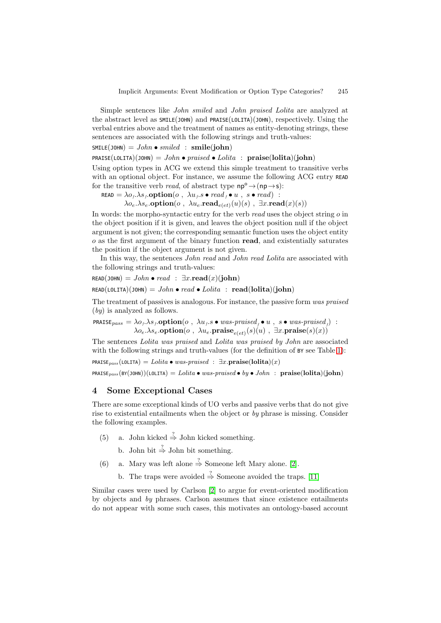Simple sentences like *John smiled* and *John praised Lolita* are analyzed at the abstract level as SMILE(JOHN) and PRAISE(LOLITA)(JOHN), respectively. Using the verbal entries above and the treatment of names as entity-denoting strings, these sentences are associated with the following strings and truth-values:

$$
SMILE(\text{JOHN}) = John \bullet sniled : smile(\text{john})
$$

PRAISE(LOLITA)(JOHN) = *John* • *praised* • *Lolita* : **praise**(**lolita**)(**john**)

Using option types in ACG we extend this simple treatment to transitive verbs with an optional object. For instance, we assume the following ACG entry READ for the transitive verb *read*, of abstract type  $np^{\circ} \rightarrow (np \rightarrow s)$ :

READ =  $\lambda o_f \cdot \lambda s_f$ **.option**( $o$ ,  $\lambda u_f s \bullet \text{read}_f \bullet u$ ,  $s \bullet \text{read}$ ) :

 $\lambda o_e.\lambda s_e$ **.option** $(o, \lambda u_e$ **.read** $_{e(et)}(u)(s)$ ,  $\exists x$ **.read** $(x)(s)$ )

In words: the morpho-syntactic entry for the verb *read* uses the object string o in the object position if it is given, and leaves the object position null if the object argument is not given; the corresponding semantic function uses the object entity o as the first argument of the binary function **read**, and existentially saturates the position if the object argument is not given.

In this way, the sentences *John read* and *John read Lolita* are associated with the following strings and truth-values:

 $READ(JOHN) = John \cdot read : \exists x.\textbf{read}(x)(john)$  $READ(LOLITA)(JOHN) = John \cdot read \cdot Lolita : read(lolita)(iohn)$ 

The treatment of passives is analogous. For instance, the passive form *was praised* (*by*) is analyzed as follows.

 $\texttt{PRAISE}_{pass} = \lambda o_f \cdot \lambda s_f \cdot \textbf{option}(o, \lambda u_f.s \bullet was-prained_f \bullet u, \textit{ s} \bullet was-prained_f)$ :  $\lambda o_e.\lambda s_e$ **.option** $(o, \lambda u_e$ **.praise** $_{e(e_t)}(s)(u)$ ,  $\exists x$ **.praise** $(s)(x))$ 

The sentences *Lolita was praised* and *Lolita was praised by John* are associated with the following strings and truth-values (for the definition of BY see Table [1\)](#page-7-0):

 $PRAISE_{mass}(LOLITA) = Lolita \bullet was-prained : \exists x.\mathbf{praise}(lolita)(x)$ 

 $PRAISE_{pass}(BY(JOHM))(LOLITA) = \text{Lolita} \bullet was-prained \bullet by \bullet \text{John} : \text{ praise}(Iolita)(john)$ 

## **4 Some Exceptional Cases**

There are some exceptional kinds of UO verbs and passive verbs that do not give rise to existential entailments when the object or *by* phrase is missing. Consider the following examples.

- <span id="page-5-1"></span>(5) a. John kicked  $\stackrel{?}{\Rightarrow}$  John kicked something.
	- b. John bit  $\stackrel{?}{\Rightarrow}$  John bit something.
- <span id="page-5-0"></span>(6) a. Mary was left alone  $\stackrel{?}{\Rightarrow}$  Someone left Mary alone. [\[2\]](#page-9-5).
	- b. The traps were avoided  $\stackrel{?}{\Rightarrow}$  Someone avoided the traps. [\[11\]](#page-10-4)

Similar cases were used by Carlson [\[2\]](#page-9-5) to argue for event-oriented modification by objects and *by* phrases. Carlson assumes that since existence entailments do not appear with some such cases, this motivates an ontology-based account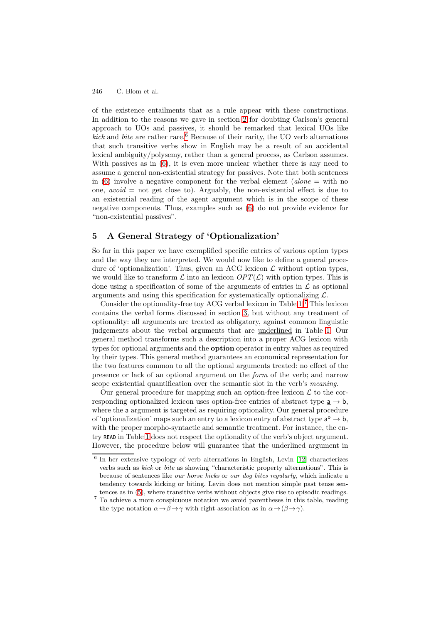of the existence entailments that as a rule appear with these constructions. In addition to the reasons we gave in section [2](#page-1-5) for doubting Carlson's general approach to UOs and passives, it should be remarked that lexical UOs like  $kick$  and *bite* are rather rare.<sup>[6](#page-6-1)</sup> Because of their rarity, the UO verb alternations that such transitive verbs show in English may be a result of an accidental lexical ambiguity/polysemy, rather than a general process, as Carlson assumes. With passives as in  $(6)$ , it is even more unclear whether there is any need to assume a general non-existential strategy for passives. Note that both sentences in [\(6\)](#page-5-0) involve a negative component for the verbal element ( $alone =$  with no one, *avoid* = not get close to). Arguably, the non-existential effect is due to an existential reading of the agent argument which is in the scope of these negative components. Thus, examples such as [\(6\)](#page-5-0) do not provide evidence for "non-existential passives".

## <span id="page-6-0"></span>**5 A General Strategy of 'Optionalization'**

So far in this paper we have exemplified specific entries of various option types and the way they are interpreted. We would now like to define a general procedure of 'optionalization'. Thus, given an ACG lexicon  $\mathcal L$  without option types, we would like to transform  $\mathcal L$  into an lexicon  $OPT(\mathcal L)$  with option types. This is done using a specification of some of the arguments of entries in  $\mathcal L$  as optional arguments and using this specification for systematically optionalizing  $\mathcal{L}$ .

Consider the optionality-free toy ACG verbal lexicon in Table [1.](#page-7-0)[7](#page-6-2) This lexicon contains the verbal forms discussed in section [3,](#page-2-2) but without any treatment of optionality: all arguments are treated as obligatory, against common linguistic judgements about the verbal arguments that are underlined in Table [1.](#page-7-0) Our general method transforms such a description into a proper ACG lexicon with types for optional arguments and the **option** operator in entry values as required by their types. This general method guarantees an economical representation for the two features common to all the optional arguments treated: no effect of the presence or lack of an optional argument on the *form* of the verb; and narrow scope existential quantification over the semantic slot in the verb's *meaning*.

Our general procedure for mapping such an option-free lexicon  $\mathcal L$  to the corresponding optionalized lexicon uses option-free entries of abstract type  $a \rightarrow b$ , where the a argument is targeted as requiring optionality. Our general procedure of 'optionalization' maps such an entry to a lexicon entry of abstract type  $a^{\circ} \rightarrow b$ , with the proper morpho-syntactic and semantic treatment. For instance, the entry READ in Table [1](#page-7-0) does not respect the optionality of the verb's object argument. However, the procedure below will guarantee that the underlined argument in

<span id="page-6-1"></span><sup>6</sup> In her extensive typology of verb alternations in English, Levin [\[12\]](#page-10-0) characterizes verbs such as *kick* or *bite* as showing "characteristic property alternations". This is because of sentences like *our horse kicks* or *our dog bites regularly*, which indicate a tendency towards kicking or biting. Levin does not mention simple past tense sentences as in [\(5\)](#page-5-1), where transitive verbs without objects give rise to episodic readings.

<span id="page-6-2"></span><sup>7</sup> To achieve a more conspicuous notation we avoid parentheses in this table, reading the type notation  $\alpha \rightarrow \beta \rightarrow \gamma$  with right-association as in  $\alpha \rightarrow (\beta \rightarrow \gamma)$ .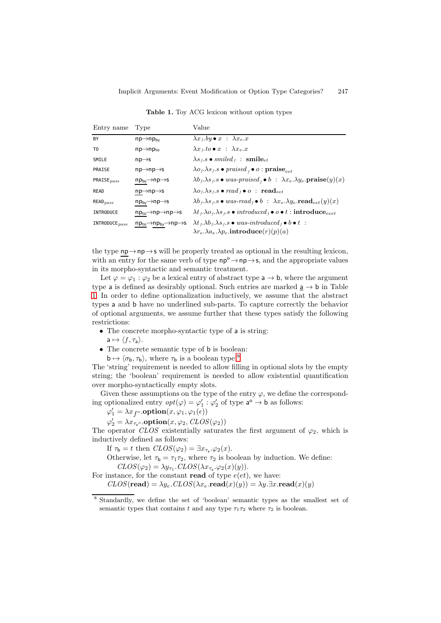| Entry name             | Type                                                       | Value                                                                                                                                                                          |
|------------------------|------------------------------------------------------------|--------------------------------------------------------------------------------------------------------------------------------------------------------------------------------|
| BY                     | $np \rightarrow np_{bv}$                                   | $\lambda x_t$ by $\bullet x$ : $\lambda x_e x$                                                                                                                                 |
| T <sub>0</sub>         | $np \rightarrow np_{to}$                                   | $\lambda x_t \cdot to \bullet x : \lambda x_e \cdot x$                                                                                                                         |
| SMILE                  | $np \rightarrow s$                                         | $\lambda s_f.s \bullet$ smiled $_i$ : smile <sub>et</sub>                                                                                                                      |
| PRAISE                 | $np \rightarrow np \rightarrow s$                          | $\lambda o_f. \lambda s_f. s \bullet \text{praised}_f \bullet o : \textbf{praise}_{eet}$                                                                                       |
| PRAISE $_{pass}$       | $np_{bv} \rightarrow np \rightarrow s$                     | $\lambda b_f. \lambda s_f.s \bullet was-prained_{f} \bullet b : \lambda x_e. \lambda y_e.\textbf{praise}(y)(x)$                                                                |
| READ                   | $np \rightarrow np \rightarrow s$                          | $\lambda o_f \cdot \lambda s_f \cdot s \bullet \text{ read }_f \bullet o \text{ : } \textbf{read}_{eet}$                                                                       |
| $\mathsf{READ}_{pass}$ | $np_{by} \rightarrow np \rightarrow s$                     | $\lambda b_f \lambda s_f.s \bullet was-read_f \bullet b : \lambda x_e.\lambda y_e.read_{eet}(y)(x)$                                                                            |
| <b>INTRODUCE</b>       | $np_{to} \rightarrow np \rightarrow np \rightarrow s$      | $\lambda t_{f}.\lambda o_{f}.\lambda s_{f}.s \bullet \textit{introduced}_f \bullet o \bullet t : \textbf{introduce}_{e e e t}$                                                 |
| INTRODUCE $pass$       | $np_{to} \rightarrow np_{by} \rightarrow np \rightarrow s$ | $\lambda t_f. \lambda b_f. \lambda s_f. s \bullet was-introduced_f \bullet b \bullet t$ :<br>$\lambda r_e \cdot \lambda a_e \cdot \lambda p_e \cdot \text{introduce}(r)(p)(a)$ |

<span id="page-7-0"></span>Table 1. Toy ACG lexicon without option types

the type  $np \rightarrow np \rightarrow s$  will be properly treated as optional in the resulting lexicon, with an entry for the same verb of type  $np^{\circ} \rightarrow np \rightarrow s$ , and the appropriate values in its morpho-syntactic and semantic treatment.

Let  $\varphi = \varphi_1 : \varphi_2$  be a lexical entry of abstract type  $a \to b$ , where the argument type a is defined as desirably optional. Such entries are marked  $\underline{a} \rightarrow \underline{b}$  in Table [1.](#page-7-0) In order to define optionalization inductively, we assume that the abstract types a and b have no underlined sub-parts. To capture correctly the behavior of optional arguments, we assume further that these types satisfy the following restrictions:

- The concrete morpho-syntactic type of a is string:
	- $a \mapsto \langle f, \tau_a \rangle$ .
- The concrete semantic type of **b** is boolean:  $b \mapsto \langle \sigma_b, \tau_b \rangle$ , where  $\tau_b$  is a boolean type.<sup>[8](#page-7-1)</sup>

The 'string' requirement is needed to allow filling in optional slots by the empty string; the 'boolean' requirement is needed to allow existential quantification over morpho-syntactically empty slots.

Given these assumptions on the type of the entry  $\varphi$ , we define the corresponding optionalized entry  $opt(\varphi) = \varphi'_1 : \varphi'_2$  of type  $\mathsf{a}^\circ \to \mathsf{b}$  as follows:

 $\varphi_1' = \lambda x_{f^o}.\textbf{option}(x, \varphi_1, \varphi_1(\epsilon))$ 

 $\varphi_2' = \lambda x_{\tau_a}$ <sup>o</sup>.**option** $(x, \varphi_2, \mathit{CLOS}(\varphi_2))$ 

The operator *CLOS* existentially saturates the first argument of  $\varphi_2$ , which is inductively defined as follows:

If  $\tau_{\mathbf{b}} = t$  then  $CLOS(\varphi_2) = \exists x_{\tau_{\mathbf{a}}} \cdot \varphi_2(x)$ .

Otherwise, let  $\tau_{\mathbf{b}} = \tau_1 \tau_2$ , where  $\tau_2$  is boolean by induction. We define:  $CLOS(\varphi_2) = \lambda y_{\tau_1}$ . $CLOS(\lambda x_{\tau_2} \cdot \varphi_2(x)(y)).$ 

For instance, for the constant **read** of type  $e(et)$ , we have:  $CLOS(\text{read}) = \lambda y_e$ . $CLOS(\lambda x_e \cdot \text{read}(x)(y)) = \lambda y \cdot \exists x \cdot \text{read}(x)(y)$ 

<span id="page-7-1"></span><sup>8</sup> Standardly, we define the set of 'boolean' semantic types as the smallest set of semantic types that contains t and any type  $\tau_1 \tau_2$  where  $\tau_2$  is boolean.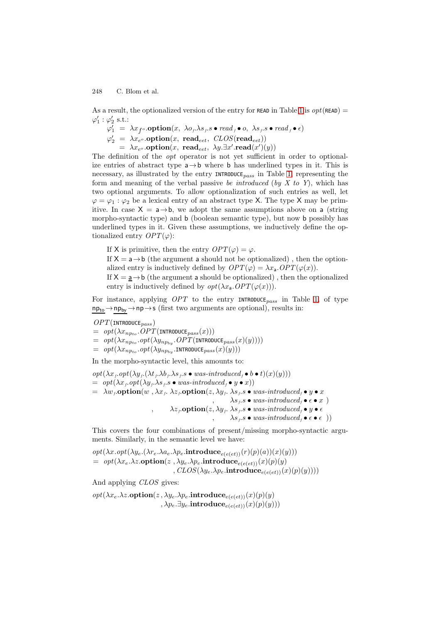As a result, the optionalized version of the entry for READ in Table [1](#page-7-0) is  $opt(\text{READ}) =$  $\varphi_1':\varphi_2'$  s.t.:

 $\varphi'_1 = \lambda x_{f^o}.\textbf{option}(x, \ \lambda o_f \lambda s_f.s \bullet \textit{read}_f \bullet o, \ \lambda s_f.s \bullet \textit{read}_f \bullet \epsilon)$ 

 $\varphi_2' = \lambda x_{e^o}.\textbf{option}(x, \textbf{ read}_{eet}, \textbf{ CLOS}(\textbf{read}_{eet}))$ 

 $= \lambda x_{e}$  .**option** $(x, \text{ read}_{eet}, \lambda y \exists x' \text{ .read}(x')(y))$ 

The definition of the *opt* operator is not yet sufficient in order to optionalize entries of abstract type  $a \rightarrow b$  where b has underlined types in it. This is necessary, as illustrated by the entry INTRODUCE*pass* in Table [1,](#page-7-0) representing the form and meaning of the verbal passive *be introduced* (*by X to Y*), which has two optional arguments. To allow optionalization of such entries as well, let  $\varphi = \varphi_1 : \varphi_2$  be a lexical entry of an abstract type X. The type X may be primitive. In case  $X = a \rightarrow b$ , we adopt the same assumptions above on a (string morpho-syntactic type) and b (boolean semantic type), but now b possibly has underlined types in it. Given these assumptions, we inductively define the optionalized entry  $OPT(\varphi)$ :

If X is primitive, then the entry  $OPT(\varphi) = \varphi$ .

If  $X = a \rightarrow b$  (the argument a should not be optionalized), then the optionalized entry is inductively defined by  $OPT(\varphi) = \lambda x_a \cdot OPT(\varphi(x)).$ 

If  $X = \underline{a} \rightarrow b$  (the argument a should be optionalized), then the optionalized entry is inductively defined by  $opt(\lambda x_a \cdot OPT(\varphi(x)))$ .

For instance, applying *OPT* to the entry INTRODUCE*pass* in Table [1,](#page-7-0) of type  $np_{to} \rightarrow np_{by} \rightarrow np \rightarrow s$  (first two arguments are optional), results in:

*OPT*(INTRODUCE*pass* )

 $=$   $opt(\lambda x_{n p_{to}}. OPT(\text{INTRODUCE}_{pass}(x)))$ 

 $=$   $opt(\lambda x_{n p_{to}}. opt(\lambda y_{n p_{by}}. OPT(\text{introduce}_{pass}(x)(y))))$ 

 $= opt(\lambda x_{n p_{to}}. opt(\lambda y_{n p_{bw}}. \text{INTRODUCE}_{pass}(x)(y)))$ 

In the morpho-syntactic level, this amounts to:

 $opt(\lambda x_f. opt(\lambda y_f. (\lambda t_f. \lambda b_f. \lambda s_f.s \bullet was-introduced_f \bullet b \bullet t)(x)(y)))$  $= opt(\lambda x_f. opt(\lambda y_f. \lambda s_f.s \bullet was-introduced_f \bullet y \bullet x))$  $= \lambda w_f \textbf{.} \textbf{option}(w, \lambda x_f, \lambda z_f) \textbf{.} \textbf{option}(z, \lambda y_f, \lambda s_f, s \bullet was-introduced_f \bullet y \bullet x$ ,  $\lambda s_f.s \bullet was-introduced_f \bullet \epsilon \bullet x$  ) ,  $\lambda z_f$ **.option** $(z, \lambda y_f, \lambda s_f, s \bullet was-introduced_f \bullet y \bullet \epsilon$  $\lambda s_f.s \bullet was-introduced_f \bullet \epsilon \bullet \epsilon)$ 

This covers the four combinations of present/missing morpho-syntactic arguments. Similarly, in the semantic level we have:

$$
opt(\lambda x.\text{opt}(\lambda y_e.(\lambda r_e.\lambda a_e.\lambda p_e.\text{introduce}_{e(e(et))}(r)(p)(a))(x)(y)))\\= \text{ opt}(\lambda x_e.\lambda z.\text{option}(z\ ,\lambda y_e.\lambda p_e.\text{introduce}_{e(e(et))}(x)(p)(y)\\, \text{CLOS}(\lambda y_e.\lambda p_e.\text{introduce}_{e(e(et))}(x)(p)(y))))
$$

And applying *CLOS* gives:

 $opt(\lambda x_e \cdot \lambda z.\mathbf{option}(z, \lambda y_e \cdot \lambda p_e.\mathbf{introduce}_{e(e(et))}(x)(p)(y))$  $, \lambda p_e. \exists y_e.$ **introduce**<sub> $e(e(e t))$ </sub> $(x)(p)(y))$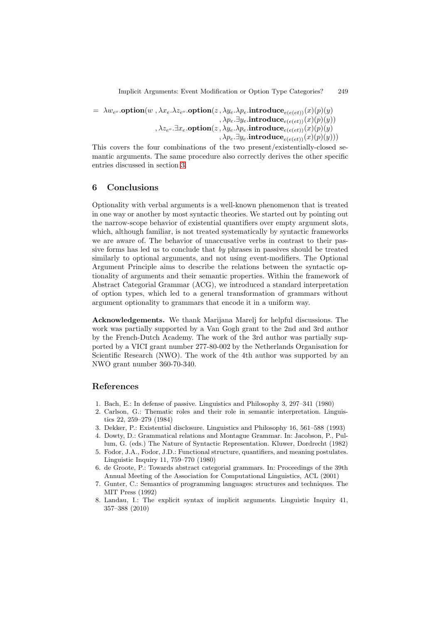$= \lambda w_{e^o}$ .**option** $(w, \lambda x_e \lambda z_{e^o}$ .**option** $(z, \lambda y_e \lambda p_e)$ .**introduce**<sub> $e(e(e t))$ </sub> $(x)(p)(y)$  $, \lambda p_e \exists y_e$ .**introduce**<sub> $e(e(e t))$ </sub> $(x)(p)(y))$ ,  $\lambda z_{e^o}$ . $\exists x_e$ .**option** $(z, \lambda y_e \ldotp \lambda p_e$ .**introduce** $_{e(e(et))}(x)(p)(y)$  $\langle \lambda p_e. \exists y_e. \textbf{introduce}_{e(e(et))}(x)(p)(y))\rangle$ 

This covers the four combinations of the two present/existentially-closed semantic arguments. The same procedure also correctly derives the other specific entries discussed in section [3.](#page-2-2)

## **6 Conclusions**

Optionality with verbal arguments is a well-known phenomenon that is treated in one way or another by most syntactic theories. We started out by pointing out the narrow-scope behavior of existential quantifiers over empty argument slots, which, although familiar, is not treated systematically by syntactic frameworks we are aware of. The behavior of unaccusative verbs in contrast to their passive forms has led us to conclude that *by* phrases in passives should be treated similarly to optional arguments, and not using event-modifiers. The Optional Argument Principle aims to describe the relations between the syntactic optionality of arguments and their semantic properties. Within the framework of Abstract Categorial Grammar (ACG), we introduced a standard interpretation of option types, which led to a general transformation of grammars without argument optionality to grammars that encode it in a uniform way.

**Acknowledgements.** We thank Marijana Marelj for helpful discussions. The work was partially supported by a Van Gogh grant to the 2nd and 3rd author by the French-Dutch Academy. The work of the 3rd author was partially supported by a VICI grant number 277-80-002 by the Netherlands Organisation for Scientific Research (NWO). The work of the 4th author was supported by an NWO grant number 360-70-340.

## <span id="page-9-1"></span>**References**

- <span id="page-9-5"></span><span id="page-9-3"></span>1. Bach, E.: In defense of passive. Linguistics and Philosophy 3, 297–341 (1980)
- 2. Carlson, G.: Thematic roles and their role in semantic interpretation. Linguistics 22, 259–279 (1984)
- <span id="page-9-7"></span><span id="page-9-4"></span>3. Dekker, P.: Existential disclosure. Linguistics and Philosophy 16, 561–588 (1993)
- 4. Dowty, D.: Grammatical relations and Montague Grammar. In: Jacobson, P., Pullum, G. (eds.) The Nature of Syntactic Representation. Kluwer, Dordrecht (1982)
- <span id="page-9-0"></span>5. Fodor, J.A., Fodor, J.D.: Functional structure, quantifiers, and meaning postulates. Linguistic Inquiry 11, 759–770 (1980)
- <span id="page-9-2"></span>6. de Groote, P.: Towards abstract categorial grammars. In: Proceedings of the 39th Annual Meeting of the Association for Computational Linguistics, ACL (2001)
- <span id="page-9-8"></span>7. Gunter, C.: Semantics of programming languages: structures and techniques. The MIT Press (1992)
- <span id="page-9-6"></span>8. Landau, I.: The explicit syntax of implicit arguments. Linguistic Inquiry 41, 357–388 (2010)